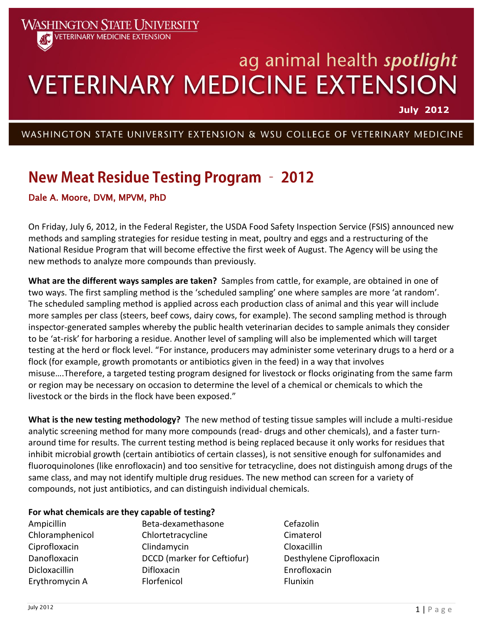# ag animal health spotlight **VETERINARY MEDICINE EXTENSION**

**July 2012**

## WASHINGTON STATE UNIVERSITY EXTENSION & WSU COLLEGE OF VETERINARY MEDICINE

# **New Meat Residue Testing Program - 2012**

### Dale A. Moore, DVM, MPVM, PhD

**WASHINGTON STATE UNIVERSITY VETERINARY MEDICINE EXTENSION** 

On Friday, July 6, 2012, in the Federal Register, the USDA Food Safety Inspection Service (FSIS) announced new methods and sampling strategies for residue testing in meat, poultry and eggs and a restructuring of the National Residue Program that will become effective the first week of August. The Agency will be using the new methods to analyze more compounds than previously.

**What are the different ways samples are taken?** Samples from cattle, for example, are obtained in one of two ways. The first sampling method is the 'scheduled sampling' one where samples are more 'at random'. The scheduled sampling method is applied across each production class of animal and this year will include more samples per class (steers, beef cows, dairy cows, for example). The second sampling method is through inspector-generated samples whereby the public health veterinarian decides to sample animals they consider to be 'at-risk' for harboring a residue. Another level of sampling will also be implemented which will target testing at the herd or flock level. "For instance, producers may administer some veterinary drugs to a herd or a flock (for example, growth promotants or antibiotics given in the feed) in a way that involves misuse….Therefore, a targeted testing program designed for livestock or flocks originating from the same farm or region may be necessary on occasion to determine the level of a chemical or chemicals to which the livestock or the birds in the flock have been exposed."

**What is the new testing methodology?** The new method of testing tissue samples will include a multi-residue analytic screening method for many more compounds (read- drugs and other chemicals), and a faster turnaround time for results. The current testing method is being replaced because it only works for residues that inhibit microbial growth (certain antibiotics of certain classes), is not sensitive enough for sulfonamides and fluoroquinolones (like enrofloxacin) and too sensitive for tetracycline, does not distinguish among drugs of the same class, and may not identify multiple drug residues. The new method can screen for a variety of compounds, not just antibiotics, and can distinguish individual chemicals.

#### **For what chemicals are they capable of testing?**

| Ampicillin      | Beta-dexamethasone          | Cefazolin                |
|-----------------|-----------------------------|--------------------------|
| Chloramphenicol | Chlortetracycline           | Cimaterol                |
| Ciprofloxacin   | Clindamycin                 | Cloxacillin              |
| Danofloxacin    | DCCD (marker for Ceftiofur) | Desthylene Ciprofloxacin |
| Dicloxacillin   | Difloxacin                  | Enrofloxacin             |
| Erythromycin A  | Florfenicol                 | Flunixin                 |